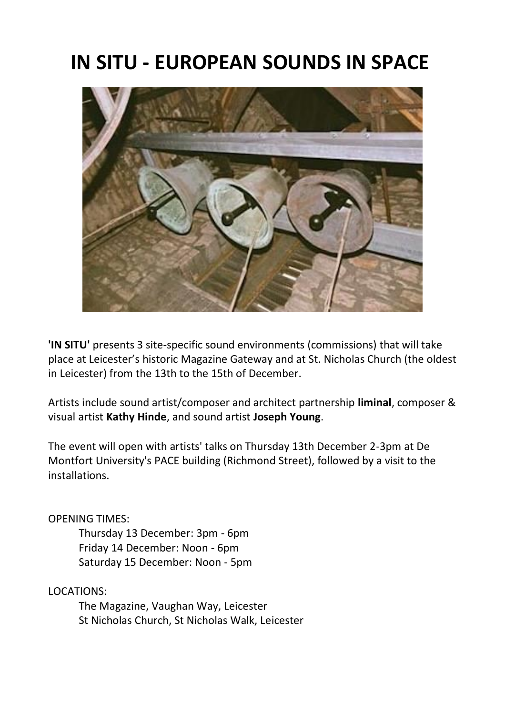# **IN SITU - EUROPEAN SOUNDS IN SPACE**



**'IN SITU'** presents 3 site-specific sound environments (commissions) that will take place at Leicester's historic Magazine Gateway and at St. Nicholas Church (the oldest in Leicester) from the 13th to the 15th of December.

Artists include sound artist/composer and architect partnership **liminal**, composer & visual artist **Kathy Hinde**, and sound artist **Joseph Young**.

The event will open with artists' talks on Thursday 13th December 2-3pm at De Montfort University's PACE building (Richmond Street), followed by a visit to the installations.

#### OPENING TIMES:

Thursday 13 December: 3pm - 6pm Friday 14 December: Noon - 6pm Saturday 15 December: Noon - 5pm

### LOCATIONS:

The Magazine, Vaughan Way, Leicester St Nicholas Church, St Nicholas Walk, Leicester